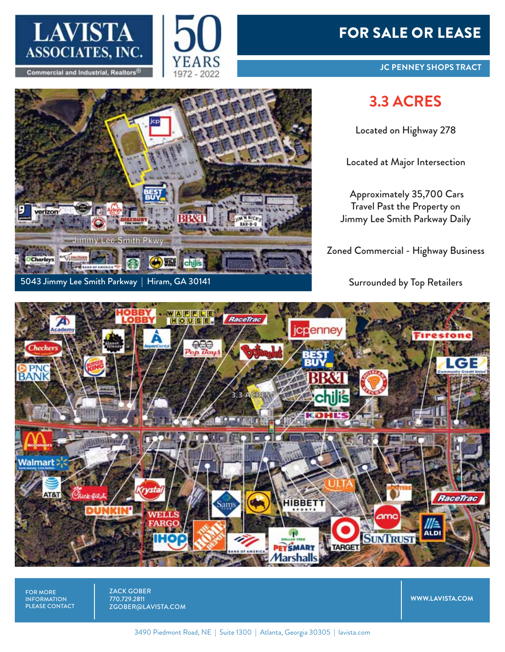

**Commercial and Industrial, Realtors** 

**VISWORDEN** 

verizon

Charley:

5043 Jimmy Lee Smith Parkway | Hiram, GA 30141

Jimmy Lee Smith Pkwy



## FOR SALE OR LEASE

## **3.3 ACRES**

Located on Highway 278

Located at Major Intersection

Approximately 35,700 Cars Travel Past the Property on Jimmy Lee Smith Parkway Daily

Zoned Commercial - Highway Business

Surrounded by Top Retailers



FOR MORE INFORMATION PLEASE CONTACT ZACK GOBER 770.729.2811 ZGOBER@LAVISTA.COM

**WWW.LAVISTA.COM**